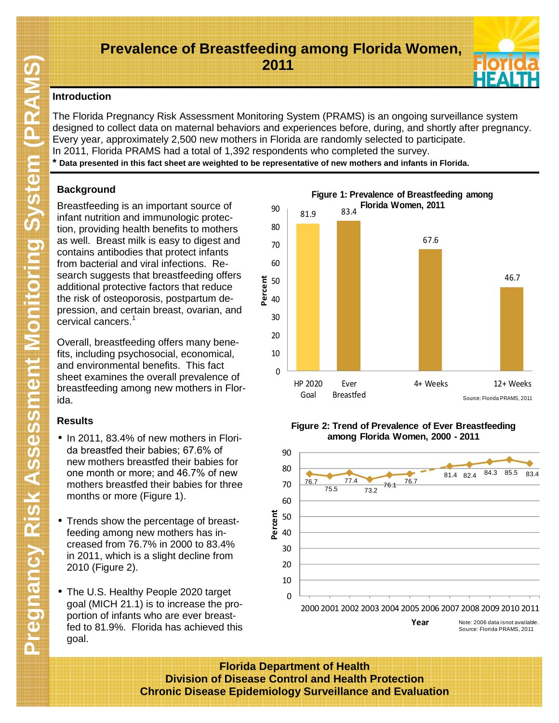# **Prevalence of Breastfeeding among Florida Women, 2011**

## **Introduction**

The Florida Pregnancy Risk Assessment Monitoring System (PRAMS) is an ongoing surveillance system designed to collect data on maternal behaviors and experiences before, during, and shortly after pregnancy. Every year, approximately 2,500 new mothers in Florida are randomly selected to participate. In 2011, Florida PRAMS had a total of 1,392 respondents who completed the survey.

**\* Data presented in this fact sheet are weighted to be representative of new mothers and infants in Florida.**

# **Background**

Breastfeeding is an important source of infant nutrition and immunologic protection, providing health benefits to mothers as well. Breast milk is easy to digest and contains antibodies that protect infants from bacterial and viral infections. Research suggests that breastfeeding offers additional protective factors that reduce the risk of osteoporosis, postpartum depression, and certain breast, ovarian, and cervical cancers.<sup>1</sup>

Overall, breastfeeding offers many benefits, including psychosocial, economical, and environmental benefits. This fact sheet examines the overall prevalence of breastfeeding among new mothers in Florida.

# **Results**

- In 2011, 83.4% of new mothers in Florida breastfed their babies; 67.6% of new mothers breastfed their babies for one month or more; and 46.7% of new mothers breastfed their babies for three months or more (Figure 1).
- Trends show the percentage of breastfeeding among new mothers has increased from 76.7% in 2000 to 83.4% in 2011, which is a slight decline from 2010 (Figure 2).
- The U.S. Healthy People 2020 target goal (MICH 21.1) is to increase the proportion of infants who are ever breastfed to 81.9%. Florida has achieved this goal.



### **Figure 2: Trend of Prevalence of Ever Breastfeeding among Florida Women, 2000 - 2011**



**Florida Department of Health Division of Disease Control and Health Protection Chronic Disease Epidemiology Surveillance and Evaluation**